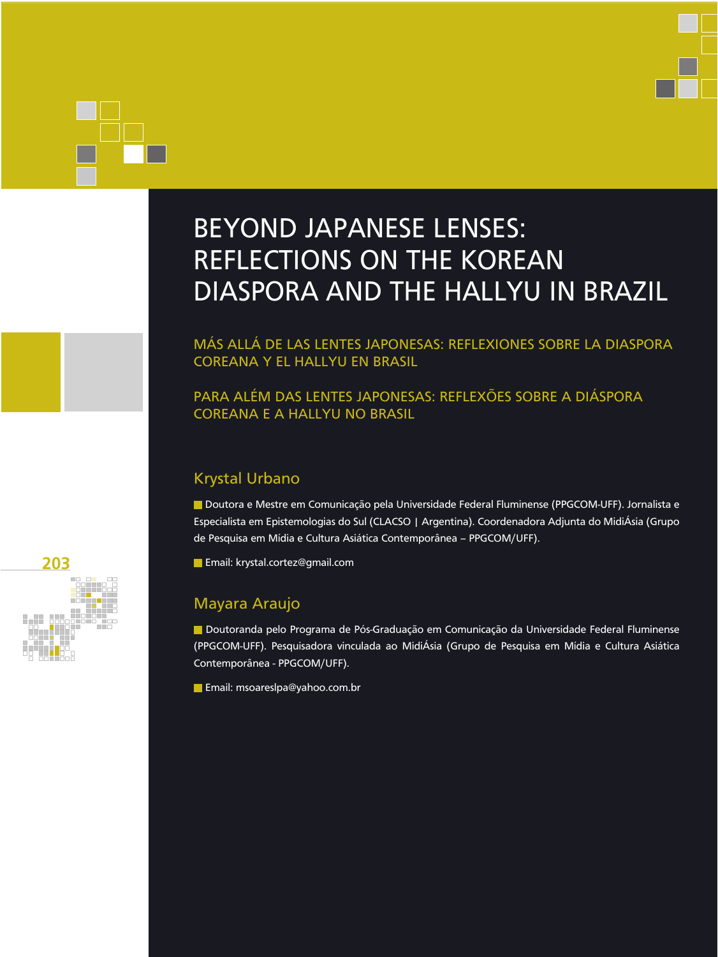

más ALLá de LAs Lentes JAponesAs: reFLeXiones soBre LA diAsporA coreAnA Y eL HALLYu en BrAsiL

pArA ALÉm dAs Lentes JAponesAs: reFLeXÕes soBre A diásporA coreAnA e A HALLYu no BrAsiL

## **Krystal Urbano**

Doutora e Mestre em Comunicação pela Universidade Federal Fluminense (PPGCOM-UFF). Jornalista e especialista em epistemologias do sul (cLAcso | Argentina). coordenadora Adjunta do midiásia (Grupo de pesquisa em mídia e cultura Asiática contemporânea – ppGcom/uFF).

**Email: krystal.cortez@gmail.com** 

## Mayara Araujo

Doutoranda pelo Programa de Pós-Graduação em Comunicação da Universidade Federal Fluminense (ppGcom-uFF). pesquisadora vinculada ao midiásia (Grupo de pesquisa em mídia e cultura Asiática contemporânea - ppGcom/uFF).

**Email: msoareslpa@yahoo.com.br** 

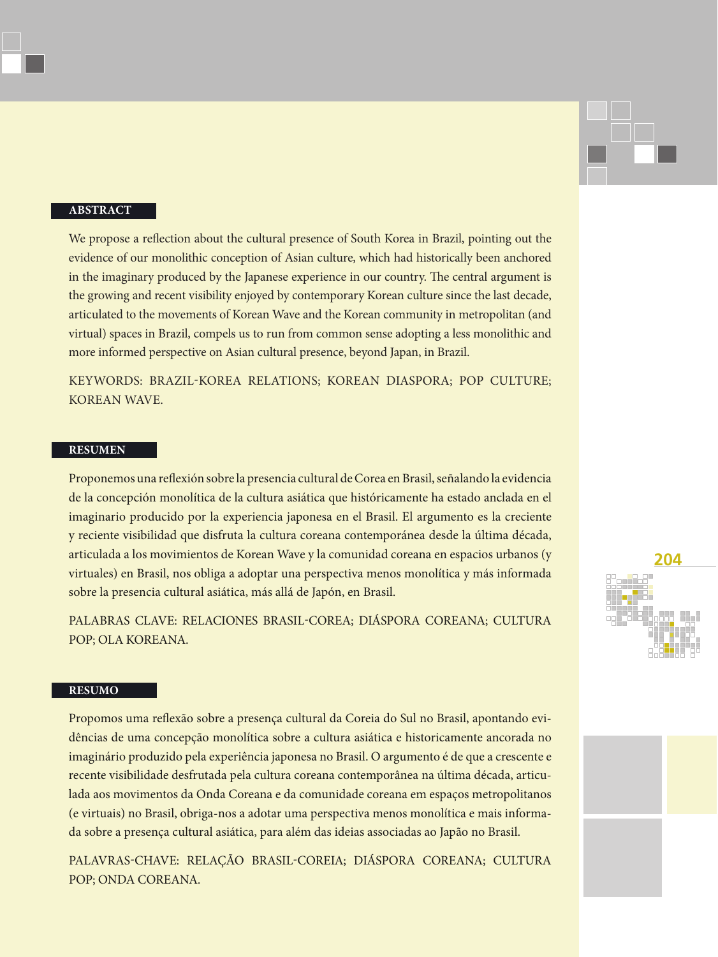#### **Abstract**

We propose a reflection about the cultural presence of South Korea in Brazil, pointing out the evidence of our monolithic conception of Asian culture, which had historically been anchored in the imaginary produced by the Japanese experience in our country. The central argument is the growing and recent visibility enjoyed by contemporary Korean culture since the last decade, articulated to the movements of Korean Wave and the Korean community in metropolitan (and virtual) spaces in Brazil, compels us to run from common sense adopting a less monolithic and more informed perspective on Asian cultural presence, beyond Japan, in Brazil.

Keywords: Brazil-Korea relations; Korean diaspora; Pop culture; Korean Wave.

#### **Resumen**

Proponemos una reflexión sobre la presencia cultural de Corea en Brasil, señalando la evidencia de la concepción monolítica de la cultura asiática que históricamente ha estado anclada en el imaginario producido por la experiencia japonesa en el Brasil. El argumento es la creciente y reciente visibilidad que disfruta la cultura coreana contemporánea desde la última década, articulada a los movimientos de Korean Wave y la comunidad coreana en espacios urbanos (y virtuales) en Brasil, nos obliga a adoptar una perspectiva menos monolítica y más informada sobre la presencia cultural asiática, más allá de Japón, en Brasil.

Palabras clave: Relaciones Brasil-Corea; Diáspora coreana; Cultura pop; Ola Koreana.

#### **Resumo**

Propomos uma reflexão sobre a presença cultural da Coreia do Sul no Brasil, apontando evidências de uma concepção monolítica sobre a cultura asiática e historicamente ancorada no imaginário produzido pela experiência japonesa no Brasil. O argumento é de que a crescente e recente visibilidade desfrutada pela cultura coreana contemporânea na última década, articulada aos movimentos da Onda Coreana e da comunidade coreana em espaços metropolitanos (e virtuais) no Brasil, obriga-nos a adotar uma perspectiva menos monolítica e mais informada sobre a presença cultural asiática, para além das ideias associadas ao Japão no Brasil.

Palavras-chave: Relação Brasil-Coreia; Diáspora coreana; Cultura pop; Onda Coreana.



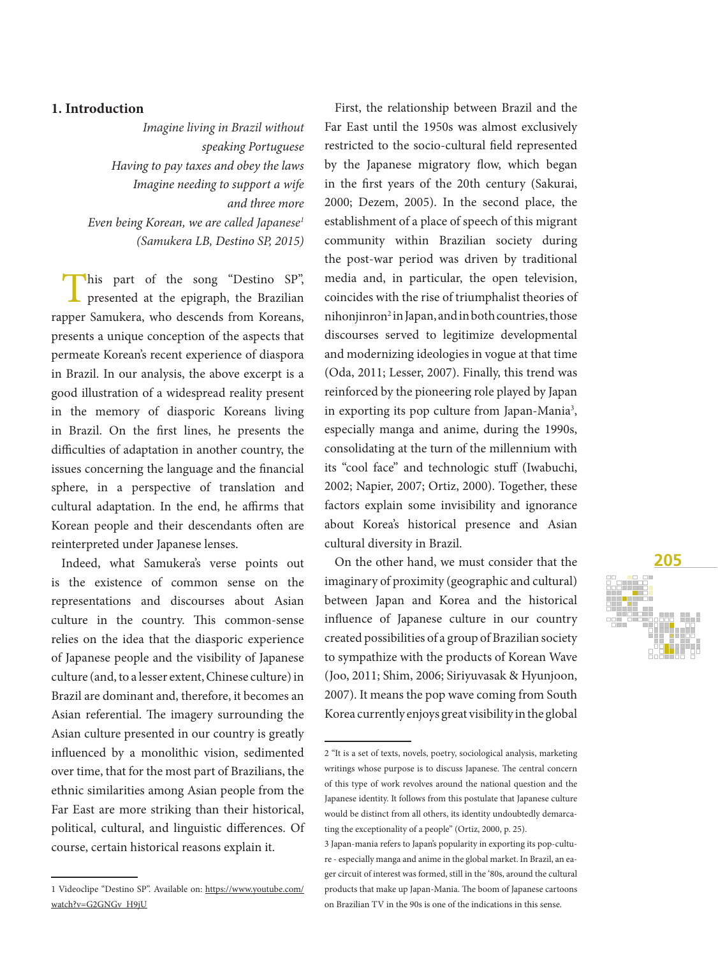### **1. Introduction**

*Imagine living in Brazil without speaking Portuguese Having to pay taxes and obey the laws Imagine needing to support a wife and three more Even being Korean, we are called Japanese1 (Samukera LB, Destino SP, 2015)*

This part of the song "Destino SP", presented at the epigraph, the Brazilian rapper Samukera, who descends from Koreans, presents a unique conception of the aspects that permeate Korean's recent experience of diaspora in Brazil. In our analysis, the above excerpt is a good illustration of a widespread reality present in the memory of diasporic Koreans living in Brazil. On the first lines, he presents the difficulties of adaptation in another country, the issues concerning the language and the financial sphere, in a perspective of translation and cultural adaptation. In the end, he affirms that Korean people and their descendants often are reinterpreted under Japanese lenses.

Indeed, what Samukera's verse points out is the existence of common sense on the representations and discourses about Asian culture in the country. This common-sense relies on the idea that the diasporic experience of Japanese people and the visibility of Japanese culture (and, to a lesser extent, Chinese culture) in Brazil are dominant and, therefore, it becomes an Asian referential. The imagery surrounding the Asian culture presented in our country is greatly influenced by a monolithic vision, sedimented over time, that for the most part of Brazilians, the ethnic similarities among Asian people from the Far East are more striking than their historical, political, cultural, and linguistic differences. Of course, certain historical reasons explain it.

First, the relationship between Brazil and the Far East until the 1950s was almost exclusively restricted to the socio-cultural field represented by the Japanese migratory flow, which began in the first years of the 20th century (Sakurai, 2000; Dezem, 2005). In the second place, the establishment of a place of speech of this migrant community within Brazilian society during the post-war period was driven by traditional media and, in particular, the open television, coincides with the rise of triumphalist theories of nihonjinron<sup>2</sup> in Japan, and in both countries, those discourses served to legitimize developmental and modernizing ideologies in vogue at that time (Oda, 2011; Lesser, 2007). Finally, this trend was reinforced by the pioneering role played by Japan in exporting its pop culture from Japan-Mania<sup>3</sup>, especially manga and anime, during the 1990s, consolidating at the turn of the millennium with its "cool face" and technologic stuff (Iwabuchi, 2002; Napier, 2007; Ortiz, 2000). Together, these factors explain some invisibility and ignorance about Korea's historical presence and Asian cultural diversity in Brazil.

On the other hand, we must consider that the imaginary of proximity (geographic and cultural) between Japan and Korea and the historical influence of Japanese culture in our country created possibilities of a group of Brazilian society to sympathize with the products of Korean Wave (Joo, 2011; Shim, 2006; Siriyuvasak & Hyunjoon, 2007). It means the pop wave coming from South Korea currently enjoys great visibility in the global



<sup>1</sup> Videoclipe "Destino SP". Available on: [https://www.youtube.com/](https://www.youtube.com/watch?v=G2GNGv_H9jU) [watch?v=G2GNGv\\_H9jU](https://www.youtube.com/watch?v=G2GNGv_H9jU)

<sup>2 &</sup>quot;It is a set of texts, novels, poetry, sociological analysis, marketing writings whose purpose is to discuss Japanese. The central concern of this type of work revolves around the national question and the Japanese identity. It follows from this postulate that Japanese culture would be distinct from all others, its identity undoubtedly demarcating the exceptionality of a people" (Ortiz, 2000, p. 25).

<sup>3</sup> Japan-mania refers to Japan's popularity in exporting its pop-culture - especially manga and anime in the global market. In Brazil, an eager circuit of interest was formed, still in the '80s, around the cultural products that make up Japan-Mania. The boom of Japanese cartoons on Brazilian TV in the 90s is one of the indications in this sense.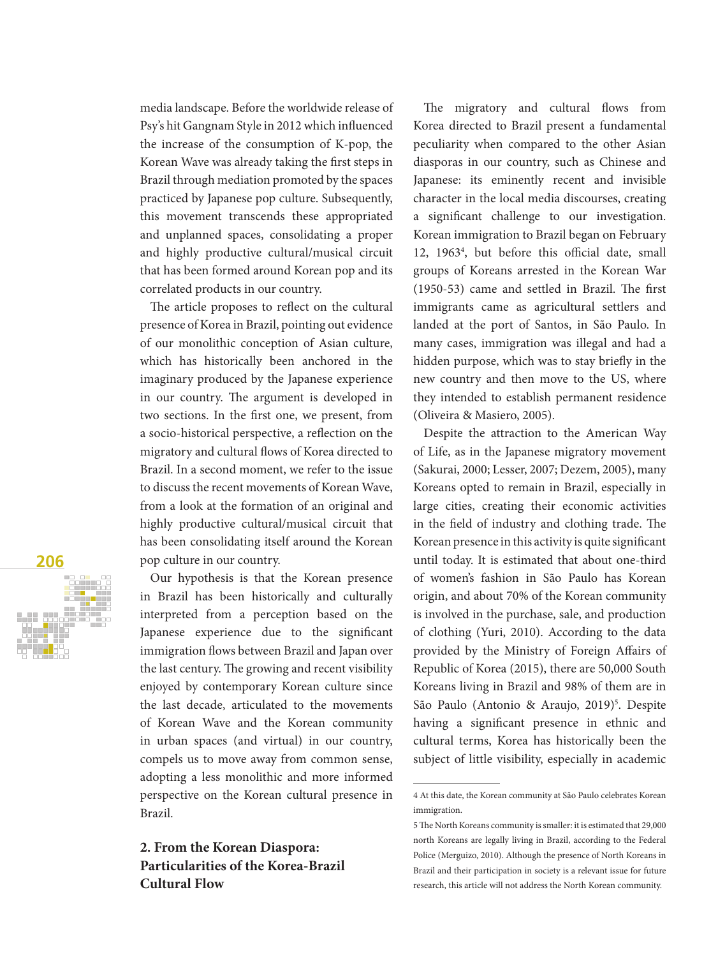media landscape. Before the worldwide release of Psy's hit Gangnam Style in 2012 which influenced the increase of the consumption of K-pop, the Korean Wave was already taking the first steps in Brazil through mediation promoted by the spaces practiced by Japanese pop culture. Subsequently, this movement transcends these appropriated and unplanned spaces, consolidating a proper and highly productive cultural/musical circuit that has been formed around Korean pop and its correlated products in our country.

The article proposes to reflect on the cultural presence of Korea in Brazil, pointing out evidence of our monolithic conception of Asian culture, which has historically been anchored in the imaginary produced by the Japanese experience in our country. The argument is developed in two sections. In the first one, we present, from a socio-historical perspective, a reflection on the migratory and cultural flows of Korea directed to Brazil. In a second moment, we refer to the issue to discuss the recent movements of Korean Wave, from a look at the formation of an original and highly productive cultural/musical circuit that has been consolidating itself around the Korean pop culture in our country.

Our hypothesis is that the Korean presence in Brazil has been historically and culturally interpreted from a perception based on the Japanese experience due to the significant immigration flows between Brazil and Japan over the last century. The growing and recent visibility enjoyed by contemporary Korean culture since the last decade, articulated to the movements of Korean Wave and the Korean community in urban spaces (and virtual) in our country, compels us to move away from common sense, adopting a less monolithic and more informed perspective on the Korean cultural presence in Brazil.

## **2. From the Korean Diaspora: Particularities of the Korea-Brazil Cultural Flow**

The migratory and cultural flows from Korea directed to Brazil present a fundamental peculiarity when compared to the other Asian diasporas in our country, such as Chinese and Japanese: its eminently recent and invisible character in the local media discourses, creating a significant challenge to our investigation. Korean immigration to Brazil began on February 12, 1963<sup>4</sup> , but before this official date, small groups of Koreans arrested in the Korean War (1950-53) came and settled in Brazil. The first immigrants came as agricultural settlers and landed at the port of Santos, in São Paulo. In many cases, immigration was illegal and had a hidden purpose, which was to stay briefly in the new country and then move to the US, where they intended to establish permanent residence (Oliveira & Masiero, 2005).

Despite the attraction to the American Way of Life, as in the Japanese migratory movement (Sakurai, 2000; Lesser, 2007; Dezem, 2005), many Koreans opted to remain in Brazil, especially in large cities, creating their economic activities in the field of industry and clothing trade. The Korean presence in this activity is quite significant until today. It is estimated that about one-third of women's fashion in São Paulo has Korean origin, and about 70% of the Korean community is involved in the purchase, sale, and production of clothing (Yuri, 2010). According to the data provided by the Ministry of Foreign Affairs of Republic of Korea (2015), there are 50,000 South Koreans living in Brazil and 98% of them are in São Paulo (Antonio & Araujo, 2019)<sup>5</sup>. Despite having a significant presence in ethnic and cultural terms, Korea has historically been the subject of little visibility, especially in academic



<sup>4</sup> At this date, the Korean community at São Paulo celebrates Korean immigration.

<sup>5</sup> The North Koreans community is smaller: it is estimated that 29,000 north Koreans are legally living in Brazil, according to the Federal Police (Merguizo, 2010). Although the presence of North Koreans in Brazil and their participation in society is a relevant issue for future research, this article will not address the North Korean community.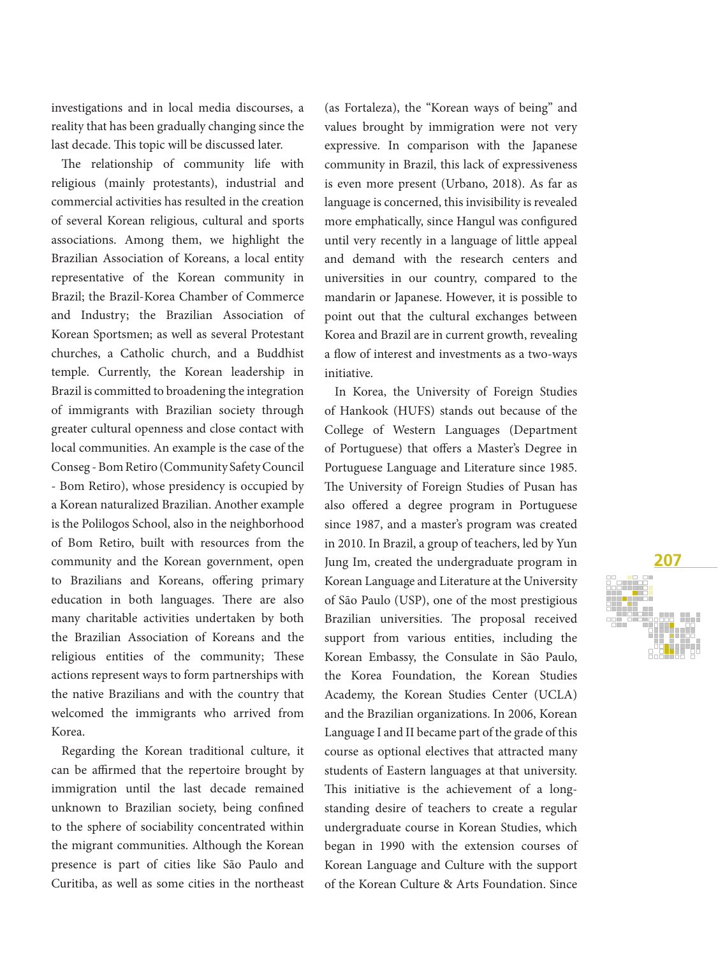investigations and in local media discourses, a reality that has been gradually changing since the last decade. This topic will be discussed later.

The relationship of community life with religious (mainly protestants), industrial and commercial activities has resulted in the creation of several Korean religious, cultural and sports associations. Among them, we highlight the Brazilian Association of Koreans, a local entity representative of the Korean community in Brazil; the Brazil-Korea Chamber of Commerce and Industry; the Brazilian Association of Korean Sportsmen; as well as several Protestant churches, a Catholic church, and a Buddhist temple. Currently, the Korean leadership in Brazil is committed to broadening the integration of immigrants with Brazilian society through greater cultural openness and close contact with local communities. An example is the case of the Conseg - Bom Retiro (Community Safety Council - Bom Retiro), whose presidency is occupied by a Korean naturalized Brazilian. Another example is the Polilogos School, also in the neighborhood of Bom Retiro, built with resources from the community and the Korean government, open to Brazilians and Koreans, offering primary education in both languages. There are also many charitable activities undertaken by both the Brazilian Association of Koreans and the religious entities of the community; These actions represent ways to form partnerships with the native Brazilians and with the country that welcomed the immigrants who arrived from Korea.

Regarding the Korean traditional culture, it can be affirmed that the repertoire brought by immigration until the last decade remained unknown to Brazilian society, being confined to the sphere of sociability concentrated within the migrant communities. Although the Korean presence is part of cities like São Paulo and Curitiba, as well as some cities in the northeast

(as Fortaleza), the "Korean ways of being" and values brought by immigration were not very expressive. In comparison with the Japanese community in Brazil, this lack of expressiveness is even more present (Urbano, 2018). As far as language is concerned, this invisibility is revealed more emphatically, since Hangul was configured until very recently in a language of little appeal and demand with the research centers and universities in our country, compared to the mandarin or Japanese. However, it is possible to point out that the cultural exchanges between Korea and Brazil are in current growth, revealing a flow of interest and investments as a two-ways initiative.

In Korea, the University of Foreign Studies of Hankook (HUFS) stands out because of the College of Western Languages (Department of Portuguese) that offers a Master's Degree in Portuguese Language and Literature since 1985. The University of Foreign Studies of Pusan has also offered a degree program in Portuguese since 1987, and a master's program was created in 2010. In Brazil, a group of teachers, led by Yun Jung Im, created the undergraduate program in Korean Language and Literature at the University of São Paulo (USP), one of the most prestigious Brazilian universities. The proposal received support from various entities, including the Korean Embassy, the Consulate in São Paulo, the Korea Foundation, the Korean Studies Academy, the Korean Studies Center (UCLA) and the Brazilian organizations. In 2006, Korean Language I and II became part of the grade of this course as optional electives that attracted many students of Eastern languages at that university. This initiative is the achievement of a longstanding desire of teachers to create a regular undergraduate course in Korean Studies, which began in 1990 with the extension courses of Korean Language and Culture with the support of the Korean Culture & Arts Foundation. Since

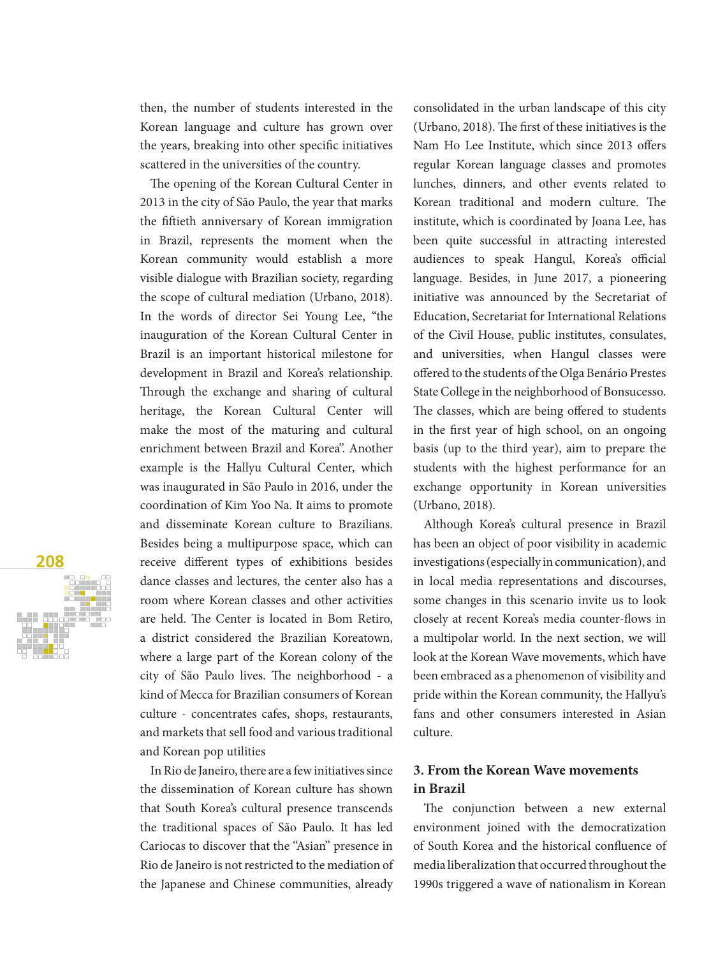then, the number of students interested in the Korean language and culture has grown over the years, breaking into other specific initiatives scattered in the universities of the country.

The opening of the Korean Cultural Center in 2013 in the city of São Paulo, the year that marks the fiftieth anniversary of Korean immigration in Brazil, represents the moment when the Korean community would establish a more visible dialogue with Brazilian society, regarding the scope of cultural mediation (Urbano, 2018). In the words of director Sei Young Lee, "the inauguration of the Korean Cultural Center in Brazil is an important historical milestone for development in Brazil and Korea's relationship. Through the exchange and sharing of cultural heritage, the Korean Cultural Center will make the most of the maturing and cultural enrichment between Brazil and Korea". Another example is the Hallyu Cultural Center, which was inaugurated in São Paulo in 2016, under the coordination of Kim Yoo Na. It aims to promote and disseminate Korean culture to Brazilians. Besides being a multipurpose space, which can receive different types of exhibitions besides dance classes and lectures, the center also has a room where Korean classes and other activities are held. The Center is located in Bom Retiro, a district considered the Brazilian Koreatown, where a large part of the Korean colony of the city of São Paulo lives. The neighborhood - a kind of Mecca for Brazilian consumers of Korean culture - concentrates cafes, shops, restaurants, and markets that sell food and various traditional and Korean pop utilities

In Rio de Janeiro, there are a few initiatives since the dissemination of Korean culture has shown that South Korea's cultural presence transcends the traditional spaces of São Paulo. It has led Cariocas to discover that the "Asian" presence in Rio de Janeiro is not restricted to the mediation of the Japanese and Chinese communities, already

consolidated in the urban landscape of this city (Urbano, 2018). The first of these initiatives is the Nam Ho Lee Institute, which since 2013 offers regular Korean language classes and promotes lunches, dinners, and other events related to Korean traditional and modern culture. The institute, which is coordinated by Joana Lee, has been quite successful in attracting interested audiences to speak Hangul, Korea's official language. Besides, in June 2017, a pioneering initiative was announced by the Secretariat of Education, Secretariat for International Relations of the Civil House, public institutes, consulates, and universities, when Hangul classes were offered to the students of the Olga Benário Prestes State College in the neighborhood of Bonsucesso. The classes, which are being offered to students in the first year of high school, on an ongoing basis (up to the third year), aim to prepare the students with the highest performance for an exchange opportunity in Korean universities (Urbano, 2018).

Although Korea's cultural presence in Brazil has been an object of poor visibility in academic investigations (especially in communication), and in local media representations and discourses, some changes in this scenario invite us to look closely at recent Korea's media counter-flows in a multipolar world. In the next section, we will look at the Korean Wave movements, which have been embraced as a phenomenon of visibility and pride within the Korean community, the Hallyu's fans and other consumers interested in Asian culture.

# **3. From the Korean Wave movements in Brazil**

The conjunction between a new external environment joined with the democratization of South Korea and the historical confluence of media liberalization that occurred throughout the 1990s triggered a wave of nationalism in Korean

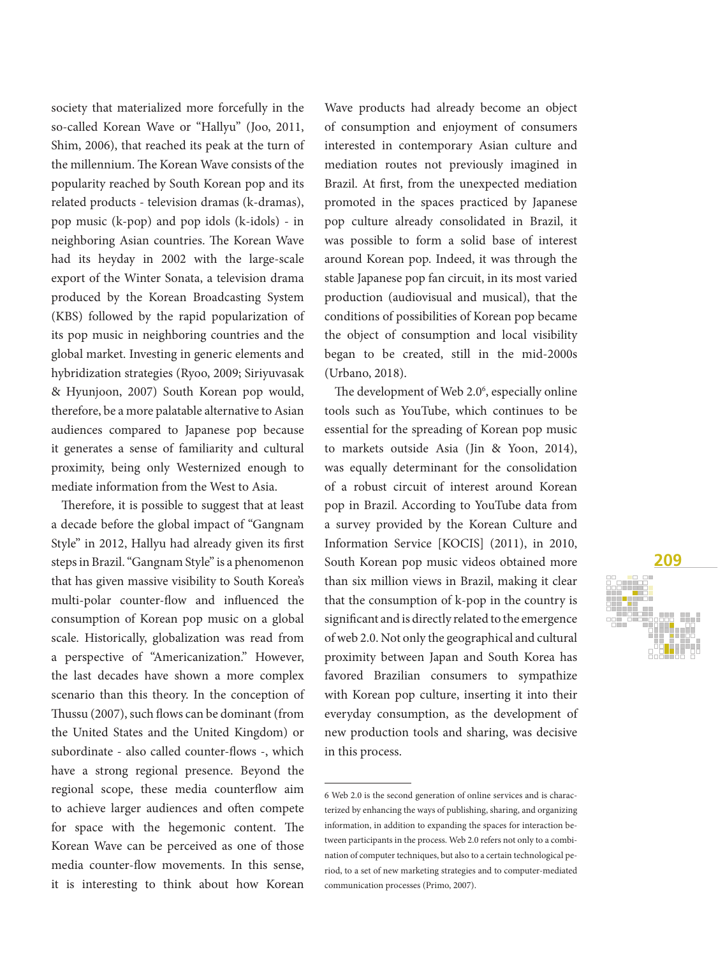society that materialized more forcefully in the so-called Korean Wave or "Hallyu" (Joo, 2011, Shim, 2006), that reached its peak at the turn of the millennium. The Korean Wave consists of the popularity reached by South Korean pop and its related products - television dramas (k-dramas), pop music (k-pop) and pop idols (k-idols) - in neighboring Asian countries. The Korean Wave had its heyday in 2002 with the large-scale export of the Winter Sonata, a television drama produced by the Korean Broadcasting System (KBS) followed by the rapid popularization of its pop music in neighboring countries and the global market. Investing in generic elements and hybridization strategies (Ryoo, 2009; Siriyuvasak & Hyunjoon, 2007) South Korean pop would, therefore, be a more palatable alternative to Asian audiences compared to Japanese pop because it generates a sense of familiarity and cultural proximity, being only Westernized enough to mediate information from the West to Asia.

Therefore, it is possible to suggest that at least a decade before the global impact of "Gangnam Style" in 2012, Hallyu had already given its first steps in Brazil. "Gangnam Style" is a phenomenon that has given massive visibility to South Korea's multi-polar counter-flow and influenced the consumption of Korean pop music on a global scale. Historically, globalization was read from a perspective of "Americanization." However, the last decades have shown a more complex scenario than this theory. In the conception of Thussu (2007), such flows can be dominant (from the United States and the United Kingdom) or subordinate - also called counter-flows -, which have a strong regional presence. Beyond the regional scope, these media counterflow aim to achieve larger audiences and often compete for space with the hegemonic content. The Korean Wave can be perceived as one of those media counter-flow movements. In this sense, it is interesting to think about how Korean

Wave products had already become an object of consumption and enjoyment of consumers interested in contemporary Asian culture and mediation routes not previously imagined in Brazil. At first, from the unexpected mediation promoted in the spaces practiced by Japanese pop culture already consolidated in Brazil, it was possible to form a solid base of interest around Korean pop. Indeed, it was through the stable Japanese pop fan circuit, in its most varied production (audiovisual and musical), that the conditions of possibilities of Korean pop became the object of consumption and local visibility began to be created, still in the mid-2000s (Urbano, 2018).

The development of Web 2.0<sup>6</sup>, especially online tools such as YouTube, which continues to be essential for the spreading of Korean pop music to markets outside Asia (Jin & Yoon, 2014), was equally determinant for the consolidation of a robust circuit of interest around Korean pop in Brazil. According to YouTube data from a survey provided by the Korean Culture and Information Service [KOCIS] (2011), in 2010, South Korean pop music videos obtained more than six million views in Brazil, making it clear that the consumption of k-pop in the country is significant and is directly related to the emergence of web 2.0. Not only the geographical and cultural proximity between Japan and South Korea has favored Brazilian consumers to sympathize with Korean pop culture, inserting it into their everyday consumption, as the development of new production tools and sharing, was decisive in this process.



<sup>6</sup> Web 2.0 is the second generation of online services and is characterized by enhancing the ways of publishing, sharing, and organizing information, in addition to expanding the spaces for interaction between participants in the process. Web 2.0 refers not only to a combination of computer techniques, but also to a certain technological period, to a set of new marketing strategies and to computer-mediated communication processes (Primo, 2007).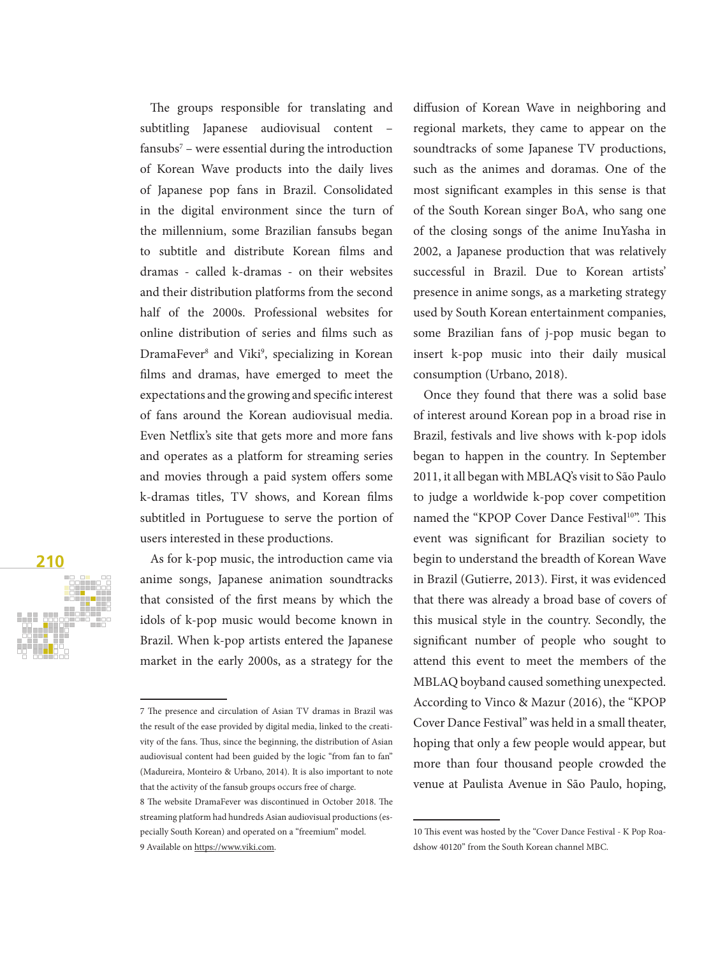The groups responsible for translating and subtitling Japanese audiovisual content – fansubs<sup> $7$ </sup> – were essential during the introduction of Korean Wave products into the daily lives of Japanese pop fans in Brazil. Consolidated in the digital environment since the turn of the millennium, some Brazilian fansubs began to subtitle and distribute Korean films and dramas - called k-dramas - on their websites and their distribution platforms from the second half of the 2000s. Professional websites for online distribution of series and films such as DramaFever<sup>8</sup> and Viki<sup>9</sup>, specializing in Korean films and dramas, have emerged to meet the expectations and the growing and specific interest of fans around the Korean audiovisual media. Even Netflix's site that gets more and more fans and operates as a platform for streaming series and movies through a paid system offers some k-dramas titles, TV shows, and Korean films subtitled in Portuguese to serve the portion of users interested in these productions.

As for k-pop music, the introduction came via anime songs, Japanese animation soundtracks that consisted of the first means by which the idols of k-pop music would become known in Brazil. When k-pop artists entered the Japanese market in the early 2000s, as a strategy for the

diffusion of Korean Wave in neighboring and regional markets, they came to appear on the soundtracks of some Japanese TV productions, such as the animes and doramas. One of the most significant examples in this sense is that of the South Korean singer BoA, who sang one of the closing songs of the anime InuYasha in 2002, a Japanese production that was relatively successful in Brazil. Due to Korean artists' presence in anime songs, as a marketing strategy used by South Korean entertainment companies, some Brazilian fans of j-pop music began to insert k-pop music into their daily musical consumption (Urbano, 2018).

Once they found that there was a solid base of interest around Korean pop in a broad rise in Brazil, festivals and live shows with k-pop idols began to happen in the country. In September 2011, it all began with MBLAQ's visit to São Paulo to judge a worldwide k-pop cover competition named the "KPOP Cover Dance Festival<sup>10"</sup>. This event was significant for Brazilian society to begin to understand the breadth of Korean Wave in Brazil (Gutierre, 2013). First, it was evidenced that there was already a broad base of covers of this musical style in the country. Secondly, the significant number of people who sought to attend this event to meet the members of the MBLAQ boyband caused something unexpected. According to Vinco & Mazur (2016), the "KPOP Cover Dance Festival" was held in a small theater, hoping that only a few people would appear, but more than four thousand people crowded the venue at Paulista Avenue in São Paulo, hoping,



<sup>7</sup> The presence and circulation of Asian TV dramas in Brazil was the result of the ease provided by digital media, linked to the creativity of the fans. Thus, since the beginning, the distribution of Asian audiovisual content had been guided by the logic "from fan to fan" (Madureira, Monteiro & Urbano, 2014). It is also important to note that the activity of the fansub groups occurs free of charge.

<sup>8</sup> The website DramaFever was discontinued in October 2018. The streaming platform had hundreds Asian audiovisual productions (especially South Korean) and operated on a "freemium" model. 9 Available on [https://www.viki.com](https://www.viki.com/).

<sup>10</sup> This event was hosted by the "Cover Dance Festival - K Pop Roadshow 40120" from the South Korean channel MBC.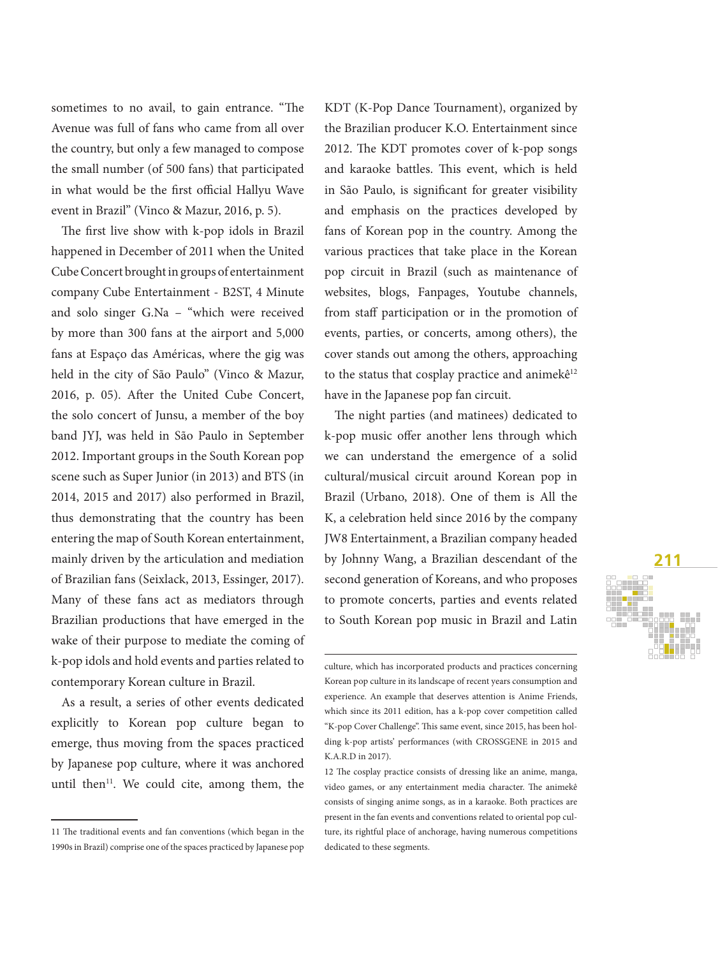sometimes to no avail, to gain entrance. "The Avenue was full of fans who came from all over the country, but only a few managed to compose the small number (of 500 fans) that participated in what would be the first official Hallyu Wave event in Brazil" (Vinco & Mazur, 2016, p. 5).

The first live show with k-pop idols in Brazil happened in December of 2011 when the United Cube Concert brought in groups of entertainment company Cube Entertainment - B2ST, 4 Minute and solo singer G.Na – "which were received by more than 300 fans at the airport and 5,000 fans at Espaço das Américas, where the gig was held in the city of São Paulo" (Vinco & Mazur, 2016, p. 05). After the United Cube Concert, the solo concert of Junsu, a member of the boy band JYJ, was held in São Paulo in September 2012. Important groups in the South Korean pop scene such as Super Junior (in 2013) and BTS (in 2014, 2015 and 2017) also performed in Brazil, thus demonstrating that the country has been entering the map of South Korean entertainment, mainly driven by the articulation and mediation of Brazilian fans (Seixlack, 2013, Essinger, 2017). Many of these fans act as mediators through Brazilian productions that have emerged in the wake of their purpose to mediate the coming of k-pop idols and hold events and parties related to contemporary Korean culture in Brazil.

As a result, a series of other events dedicated explicitly to Korean pop culture began to emerge, thus moving from the spaces practiced by Japanese pop culture, where it was anchored until then $11$ . We could cite, among them, the

KDT (K-Pop Dance Tournament), organized by the Brazilian producer K.O. Entertainment since 2012. The KDT promotes cover of k-pop songs and karaoke battles. This event, which is held in São Paulo, is significant for greater visibility and emphasis on the practices developed by fans of Korean pop in the country. Among the various practices that take place in the Korean pop circuit in Brazil (such as maintenance of websites, blogs, Fanpages, Youtube channels, from staff participation or in the promotion of events, parties, or concerts, among others), the cover stands out among the others, approaching to the status that cosplay practice and animekê<sup>12</sup> have in the Japanese pop fan circuit.

The night parties (and matinees) dedicated to k-pop music offer another lens through which we can understand the emergence of a solid cultural/musical circuit around Korean pop in Brazil (Urbano, 2018). One of them is All the K, a celebration held since 2016 by the company JW8 Entertainment, a Brazilian company headed by Johnny Wang, a Brazilian descendant of the second generation of Koreans, and who proposes to promote concerts, parties and events related to South Korean pop music in Brazil and Latin



<sup>11</sup> The traditional events and fan conventions (which began in the 1990s in Brazil) comprise one of the spaces practiced by Japanese pop

culture, which has incorporated products and practices concerning Korean pop culture in its landscape of recent years consumption and experience. An example that deserves attention is Anime Friends, which since its 2011 edition, has a k-pop cover competition called "K-pop Cover Challenge". This same event, since 2015, has been holding k-pop artists' performances (with CROSSGENE in 2015 and K.A.R.D in 2017).

<sup>12</sup> The cosplay practice consists of dressing like an anime, manga, video games, or any entertainment media character. The animekê consists of singing anime songs, as in a karaoke. Both practices are present in the fan events and conventions related to oriental pop culture, its rightful place of anchorage, having numerous competitions dedicated to these segments.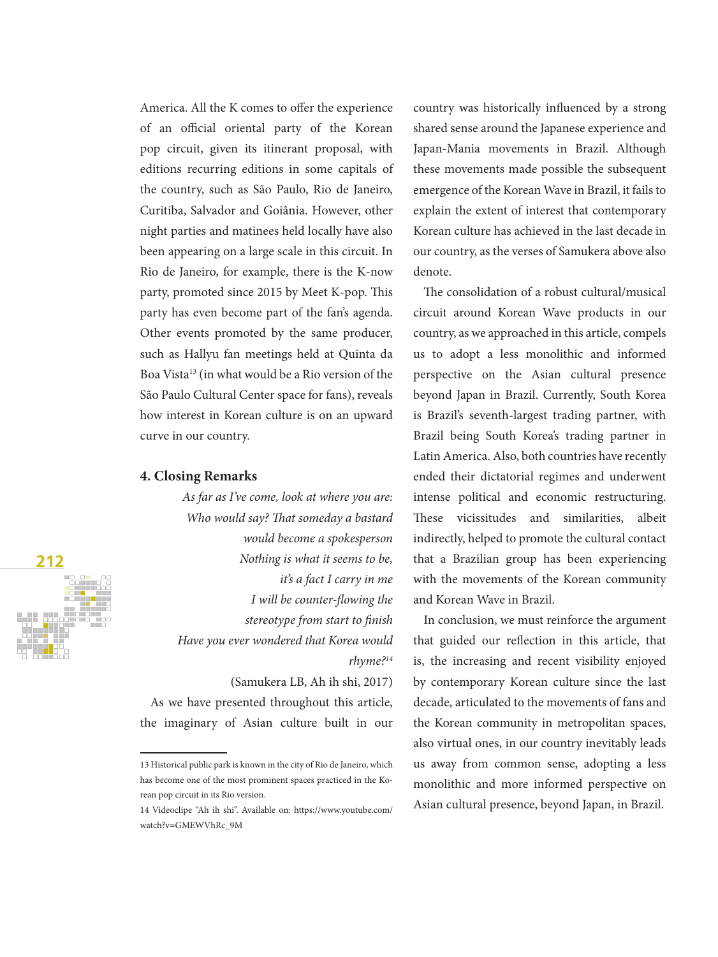America. All the K comes to offer the experience of an official oriental party of the Korean pop circuit, given its itinerant proposal, with editions recurring editions in some capitals of the country, such as São Paulo, Rio de Janeiro, Curitiba, Salvador and Goiânia. However, other night parties and matinees held locally have also been appearing on a large scale in this circuit. In Rio de Janeiro, for example, there is the K-now party, promoted since 2015 by Meet K-pop. This party has even become part of the fan's agenda. Other events promoted by the same producer, such as Hallyu fan meetings held at Quinta da Boa Vista<sup>13</sup> (in what would be a Rio version of the São Paulo Cultural Center space for fans), reveals how interest in Korean culture is on an upward curve in our country.

#### **4. Closing Remarks**

*As far as I've come, look at where you are: Who would say? That someday a bastard would become a spokesperson Nothing is what it seems to be, it's a fact I carry in me I will be counter-flowing the stereotype from start to finish Have you ever wondered that Korea would rhyme?14*

(Samukera LB, Ah ih shi, 2017)

As we have presented throughout this article, the imaginary of Asian culture built in our

country was historically influenced by a strong shared sense around the Japanese experience and Japan-Mania movements in Brazil. Although these movements made possible the subsequent emergence of the Korean Wave in Brazil, it fails to explain the extent of interest that contemporary Korean culture has achieved in the last decade in our country, as the verses of Samukera above also denote.

The consolidation of a robust cultural/musical circuit around Korean Wave products in our country, as we approached in this article, compels us to adopt a less monolithic and informed perspective on the Asian cultural presence beyond Japan in Brazil. Currently, South Korea is Brazil's seventh-largest trading partner, with Brazil being South Korea's trading partner in Latin America. Also, both countries have recently ended their dictatorial regimes and underwent intense political and economic restructuring. These vicissitudes and similarities, albeit indirectly, helped to promote the cultural contact that a Brazilian group has been experiencing with the movements of the Korean community and Korean Wave in Brazil.

In conclusion, we must reinforce the argument that guided our reflection in this article, that is, the increasing and recent visibility enjoyed by contemporary Korean culture since the last decade, articulated to the movements of fans and the Korean community in metropolitan spaces, also virtual ones, in our country inevitably leads us away from common sense, adopting a less monolithic and more informed perspective on Asian cultural presence, beyond Japan, in Brazil.



<sup>13</sup> Historical public park is known in the city of Rio de Janeiro, which has become one of the most prominent spaces practiced in the Korean pop circuit in its Rio version.

<sup>14</sup> Videoclipe "Ah ih shi". Available on: [https://www.youtube.com/](https://www.youtube.com/watch?v=GMEWVhRc_9M) [watch?v=GMEWVhRc\\_9M](https://www.youtube.com/watch?v=GMEWVhRc_9M)